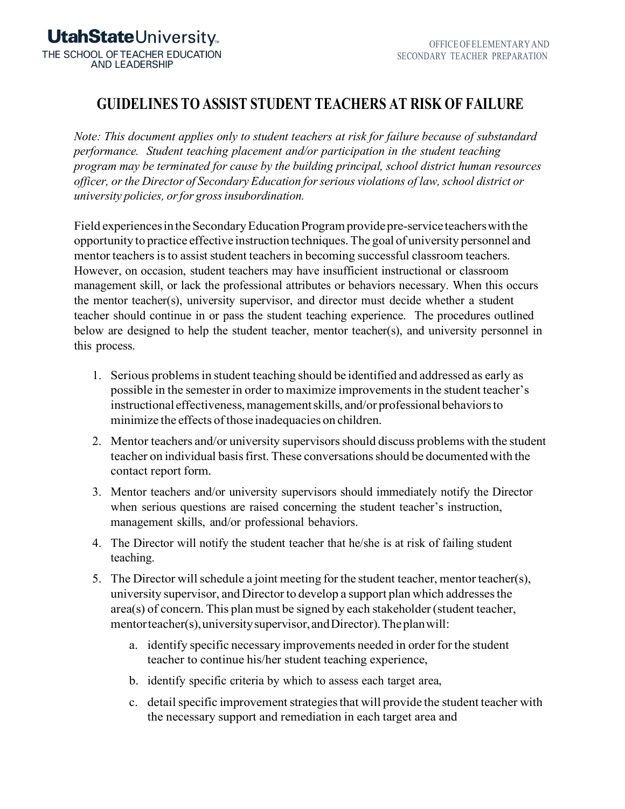## **GUIDELINES TO ASSIST STUDENT TEACHERS AT RISK OF FAILURE**

*Note: This document applies only to student teachers at risk for failure because of substandard performance. Student teaching placement and/or participation in the student teaching program may be terminated for cause by the building principal, school district human resources officer, orthe Director of Secondary Education forserious violations of law,school district or university policies, orfor grossinsubordination.*

Field experiences in the Secondary Education Program provide pre-service teachers with the opportunity to practice effective instruction techniques. The goal of university personnel and mentor teachers is to assist student teachers in becoming successful classroom teachers. However, on occasion, student teachers may have insufficient instructional or classroom management skill, or lack the professional attributes or behaviors necessary. When this occurs the mentor teacher(s), university supervisor, and director must decide whether a student teacher should continue in or pass the student teaching experience. The procedures outlined below are designed to help the student teacher, mentor teacher(s), and university personnel in this process.

- 1. Serious problemsin student teaching should be identified and addressed as early as possible in the semester in order to maximize improvements in the student teacher's instructional effectiveness, management skills, and/or professional behaviors to minimize the effects of those inadequacies on children.
- 2. Mentor teachers and/or university supervisors should discuss problems with the student teacher on individual basisfirst. These conversationsshould be documentedwith the contact report form.
- 3. Mentor teachers and/or university supervisors should immediately notify the Director when serious questions are raised concerning the student teacher's instruction, management skills, and/or professional behaviors.
- 4. The Director will notify the student teacher that he/she is at risk of failing student teaching.
- 5. The Director will schedule a joint meeting for the student teacher, mentor teacher(s), university supervisor, and Director to develop a support plan which addresses the area(s) of concern. This plan must be signed by each stakeholder(student teacher, mentorteacher(s), university supervisor, and Director). The plan will:
	- a. identify specific necessary improvements needed in order for the student teacher to continue his/her student teaching experience,
	- b. identify specific criteria by which to assess each target area,
	- c. detail specific improvement strategies that will provide the student teacher with the necessary support and remediation in each target area and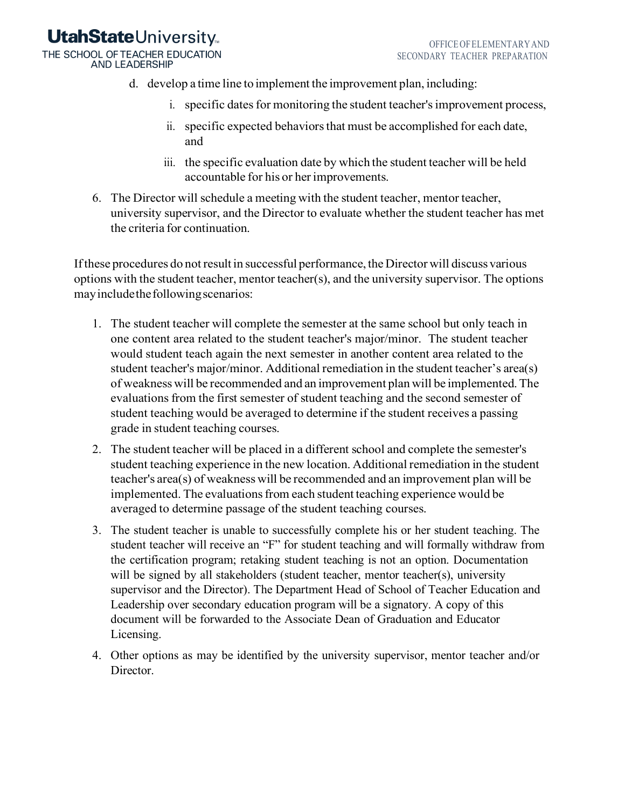## **UtahState**University

THE SCHOOL OF TEACHER EDUCATION **AND LEADERSHIP** 

- d. develop a time line to implement the improvement plan, including:
	- i. specific dates for monitoring the student teacher's improvement process,
	- ii. specific expected behaviors that must be accomplished for each date, and
	- iii. the specific evaluation date by which the student teacher will be held accountable for his or herimprovements.
- 6. The Director will schedule a meeting with the student teacher, mentor teacher, university supervisor, and the Director to evaluate whether the student teacher has met the criteria for continuation.

If these procedures do not result in successful performance, the Director will discuss various options with the student teacher, mentor teacher(s), and the university supervisor. The options mayincludethefollowingscenarios:

- 1. The student teacher will complete the semester at the same school but only teach in one content area related to the student teacher's major/minor. The student teacher would student teach again the next semester in another content area related to the student teacher's major/minor. Additional remediation in the student teacher's area(s) of weakness will be recommended and an improvement plan will be implemented. The evaluations from the first semester of student teaching and the second semester of student teaching would be averaged to determine if the student receives a passing grade in student teaching courses.
- 2. The student teacher will be placed in a different school and complete the semester's student teaching experience in the new location. Additional remediation in the student teacher's area(s) of weakness will be recommended and an improvement plan will be implemented. The evaluations from each student teaching experience would be averaged to determine passage of the student teaching courses.
- 3. The student teacher is unable to successfully complete his or her student teaching. The student teacher will receive an "F" for student teaching and will formally withdraw from the certification program; retaking student teaching is not an option. Documentation will be signed by all stakeholders (student teacher, mentor teacher(s), university supervisor and the Director). The Department Head of School of Teacher Education and Leadership over secondary education program will be a signatory. A copy of this document will be forwarded to the Associate Dean of Graduation and Educator Licensing.
- 4. Other options as may be identified by the university supervisor, mentor teacher and/or Director.